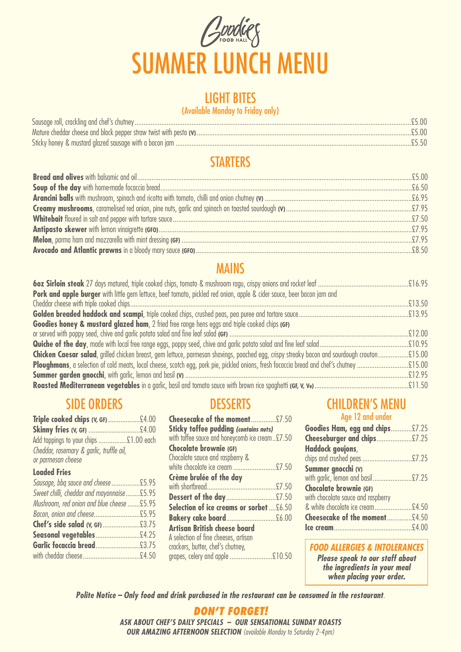

### LIGHT BITES

#### (Available Monday to Friday only)

### **STARTERS**

### MAINS

| Pork and apple burger with little gem lettuce, beef tomato, pickled red onion, apple & cider sauce, beer bacon jam and |  |
|------------------------------------------------------------------------------------------------------------------------|--|
|                                                                                                                        |  |
|                                                                                                                        |  |
| Goodies honey & mustard glazed ham, 2 fried free range hens eggs and triple cooked chips (GF)                          |  |
|                                                                                                                        |  |
|                                                                                                                        |  |
|                                                                                                                        |  |
|                                                                                                                        |  |
|                                                                                                                        |  |
|                                                                                                                        |  |

### SIDE ORDERS

| Add toppings to your chips £1.00 each     |  |
|-------------------------------------------|--|
| Cheddar, rosemary & garlic, truffle oil,  |  |
| or parmesan cheese                        |  |
| <b>Loaded Fries</b>                       |  |
| Sausage, bbq sauce and cheese£5.95        |  |
| Sweet chilli, cheddar and mayonnaise£5.95 |  |
| Mushroom, red onion and blue cheese £5.95 |  |
|                                           |  |
|                                           |  |
|                                           |  |
|                                           |  |

| Triple cooked chips (V, GF) £4.00          | Cheesecake of the moment£7.50                  | Age 12 and under                                               |
|--------------------------------------------|------------------------------------------------|----------------------------------------------------------------|
|                                            | <b>Sticky toffee pudding (contains nuts)</b>   | <b>Goodies Ham, egg and chips</b>                              |
| Add toppings to your chips £1.00 each      | with toffee sauce and honeycomb ice cream£7.50 | Cheeseburger and chips                                         |
| Cheddar, rosemary & garlic, truffle oil,   | <b>Chocolate brownie (GF)</b>                  | Haddock govjons,                                               |
| or parmesan cheese                         | Chocolate sauce and raspberry &                | chips and crushed peas                                         |
| <b>Loaded Fries</b>                        |                                                | Summer gnocchi (V)                                             |
|                                            | Crème brulée of the day                        | with garlic, lemon and basil                                   |
| Sweet chilli, cheddar and mayonnaise £5.95 |                                                | <b>Chocolate brownie (GF)</b>                                  |
| Mushroom, red onion and blue cheese £5.95  |                                                | with chocolate sauce and raspberry                             |
|                                            | <b>Selection of ice creams or sorbet£6.50</b>  | & white chocolate ice cream<br><b>Cheesecake of the moment</b> |
|                                            | Artisan British cheese board                   |                                                                |
|                                            | A selection of fine cheeses, artisan           |                                                                |
|                                            | crackers, butter, chef's chutney,              | <b>FOOD ALLERGIES &amp; INTO</b>                               |
|                                            | grapes, celery and apple £10.50                | <b>Please speak to our sta</b>                                 |
|                                            |                                                |                                                                |

## **DESSERTS**<br> **CHILDREN'S MENU**<br> **CHILDREN'S MENU**<br>
Age 12 and under

| Goodies Ham, egg and chips £7.25   |  |
|------------------------------------|--|
|                                    |  |
| Cheeseburger and chips £7.25       |  |
| Haddock govjons,                   |  |
|                                    |  |
| Summer gnocchi (V)                 |  |
| with garlic, lemon and basil £7.25 |  |
| <b>Chocolate brownie (GF)</b>      |  |
| with chocolate sauce and raspberry |  |
| & white chocolate ice cream£4.50   |  |
| Cheesecake of the moment£4.50      |  |
|                                    |  |
|                                    |  |

#### *FOOD ALLERGIES & INTOLERANCES*

*Please speak to our staff about the ingredients in your meal when placing your order.*

*Polite Notice – Only food and drink purchased in the restaurant can be consumed in the restaurant*.

*DON'T FORGET! ASK ABOUT CHEF'S DAILY SPECIALS – OUR SENSATIONAL SUNDAY ROASTS OUR AMAZING AFTERNOON SELECTION (available Monday to Saturday 2-4pm)*